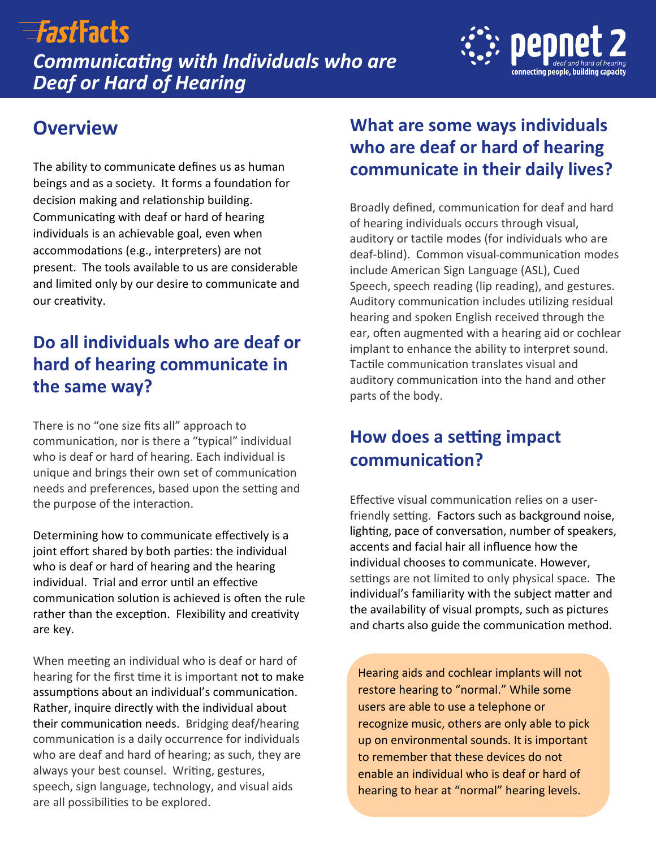# $\equiv$ *Fast*Facts

*Communicating with Individuals who are Deaf or Hard of Hearing*



## **Overview**

The ability to communicate defines us as human beings and as a society. It forms a foundation for decision making and relationship building. Communicating with deaf or hard of hearing individuals is an achievable goal, even when accommodations (e.g., interpreters) are not present. The tools available to us are considerable and limited only by our desire to communicate and our creativity.

## **Do all individuals who are deaf or hard of hearing communicate in the same way?**

There is no "one size fits all" approach to communication, nor is there a "typical" individual who is deaf or hard of hearing. Each individual is unique and brings their own set of communication needs and preferences, based upon the setting and the purpose of the interaction.

Determining how to communicate effectively is a joint effort shared by both parties: the individual who is deaf or hard of hearing and the hearing individual. Trial and error until an effective communication solution is achieved is often the rule rather than the exception. Flexibility and creativity are key.

When meeting an individual who is deaf or hard of hearing for the first time it is important not to make assumptions about an individual's communication. Rather, inquire directly with the individual about their communication needs. Bridging deaf/hearing communication is a daily occurrence for individuals who are deaf and hard of hearing; as such, they are always your best counsel. Writing, gestures, speech, sign language, technology, and visual aids are all possibilities to be explored.

### **What are some ways individuals who are deaf or hard of hearing communicate in their daily lives?**

Broadly defined, communication for deaf and hard of hearing individuals occurs through visual, auditory or tactile modes (for individuals who are deaf-blind). Common visual communication modes include American Sign Language (ASL), Cued Speech, speech reading (lip reading), and gestures. Auditory communication includes utilizing residual hearing and spoken English received through the ear, often augmented with a hearing aid or cochlear implant to enhance the ability to interpret sound. Tactile communication translates visual and auditory communication into the hand and other parts of the body.

## **How does a setting impact communication?**

Effective visual communication relies on a userfriendly setting. Factors such as background noise, lighting, pace of conversation, number of speakers, accents and facial hair all influence how the individual chooses to communicate. However, settings are not limited to only physical space. The individual's familiarity with the subject matter and the availability of visual prompts, such as pictures and charts also guide the communication method.

Hearing aids and cochlear implants will not restore hearing to "normal." While some users are able to use a telephone or recognize music, others are only able to pick up on environmental sounds. It is important to remember that these devices do not enable an individual who is deaf or hard of hearing to hear at "normal" hearing levels.